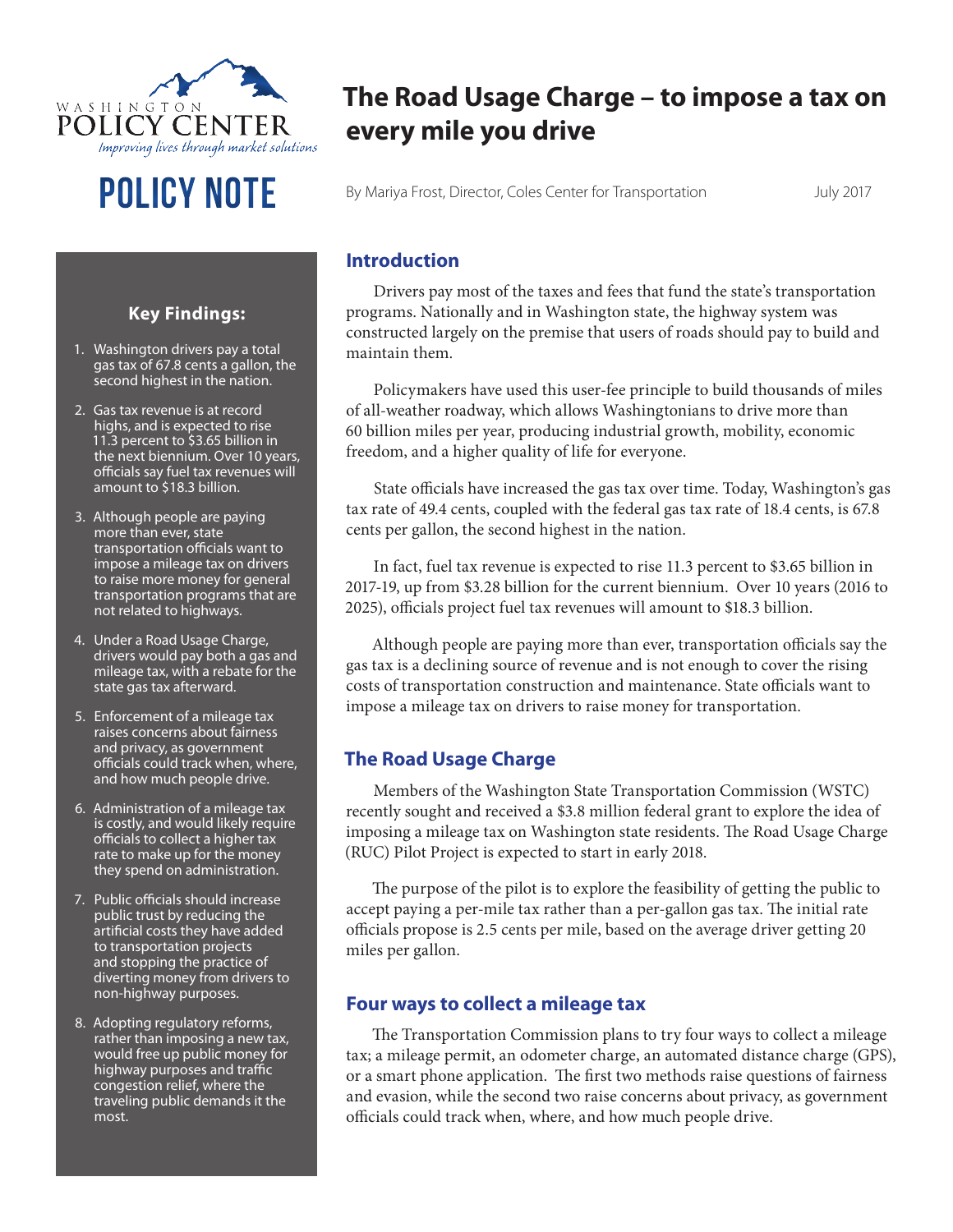

# **The Road Usage Charge – to impose a tax on every mile you drive**

**POLICY NOTE** By Mariya Frost, Director, Coles Center for Transportation July 2017

#### **Introduction**

Drivers pay most of the taxes and fees that fund the state's transportation programs. Nationally and in Washington state, the highway system was constructed largely on the premise that users of roads should pay to build and maintain them.

Policymakers have used this user-fee principle to build thousands of miles of all-weather roadway, which allows Washingtonians to drive more than 60 billion miles per year, producing industrial growth, mobility, economic freedom, and a higher quality of life for everyone.

State officials have increased the gas tax over time. Today, Washington's gas tax rate of 49.4 cents, coupled with the federal gas tax rate of 18.4 cents, is 67.8 cents per gallon, the second highest in the nation.

In fact, fuel tax revenue is expected to rise 11.3 percent to \$3.65 billion in 2017-19, up from \$3.28 billion for the current biennium. Over 10 years (2016 to 2025), officials project fuel tax revenues will amount to \$18.3 billion.

Although people are paying more than ever, transportation officials say the gas tax is a declining source of revenue and is not enough to cover the rising costs of transportation construction and maintenance. State officials want to impose a mileage tax on drivers to raise money for transportation.

## **The Road Usage Charge**

Members of the Washington State Transportation Commission (WSTC) recently sought and received a \$3.8 million federal grant to explore the idea of imposing a mileage tax on Washington state residents. The Road Usage Charge (RUC) Pilot Project is expected to start in early 2018.

The purpose of the pilot is to explore the feasibility of getting the public to accept paying a per-mile tax rather than a per-gallon gas tax. The initial rate officials propose is 2.5 cents per mile, based on the average driver getting 20 miles per gallon.

### **Four ways to collect a mileage tax**

The Transportation Commission plans to try four ways to collect a mileage tax; a mileage permit, an odometer charge, an automated distance charge (GPS), or a smart phone application. The first two methods raise questions of fairness and evasion, while the second two raise concerns about privacy, as government officials could track when, where, and how much people drive.

#### **Key Findings:**

- 1. Washington drivers pay a total gas tax of 67.8 cents a gallon, the second highest in the nation.
- 2. Gas tax revenue is at record highs, and is expected to rise 11.3 percent to \$3.65 billion in the next biennium. Over 10 years, officials say fuel tax revenues will amount to \$18.3 billion.
- 3. Although people are paying more than ever, state transportation officials want to impose a mileage tax on drivers to raise more money for general transportation programs that are not related to highways.
- 4. Under a Road Usage Charge, drivers would pay both a gas and mileage tax, with a rebate for the state gas tax afterward.
- 5. Enforcement of a mileage tax raises concerns about fairness and privacy, as government officials could track when, where, and how much people drive.
- 6. Administration of a mileage tax is costly, and would likely require officials to collect a higher tax rate to make up for the money they spend on administration.
- 7. Public officials should increase public trust by reducing the artificial costs they have added to transportation projects and stopping the practice of diverting money from drivers to non-highway purposes.
- 8. Adopting regulatory reforms, rather than imposing a new tax, would free up public money for highway purposes and traffic congestion relief, where the traveling public demands it the most.